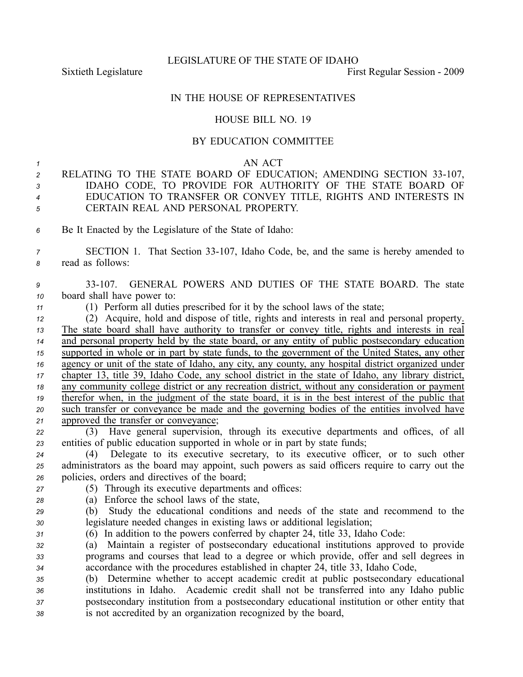LEGISLATURE OF THE STATE OF IDAHO

Sixtieth Legislature **First** Regular Session - 2009

## IN THE HOUSE OF REPRESENTATIVES

## HOUSE BILL NO. 19

## BY EDUCATION COMMITTEE

## *1* AN ACT

- 2 RELATING TO THE STATE BOARD OF EDUCATION; AMENDING SECTION 33-107, *<sup>3</sup>* IDAHO CODE, TO PROVIDE FOR AUTHORITY OF THE STATE BOARD OF *<sup>4</sup>* EDUCATION TO TRANSFER OR CONVEY TITLE, RIGHTS AND INTERESTS IN *<sup>5</sup>* CERTAIN REAL AND PERSONAL PROPERTY.
- *<sup>6</sup>* Be It Enacted by the Legislature of the State of Idaho:
- *<sup>7</sup>* SECTION 1. That Section 33107, Idaho Code, be, and the same is hereby amended to *<sup>8</sup>* read as follows:
- *<sup>9</sup>* 33107. GENERAL POWERS AND DUTIES OF THE STATE BOARD. The state *<sup>10</sup>* board shall have power to:
- *<sup>11</sup>* (1) Perform all duties prescribed for it by the school laws of the state;
- *<sup>12</sup>* (2) Acquire, hold and dispose of title, rights and interests in real and personal property. *<sup>13</sup>* The state board shall have authority to transfer or convey title, rights and interests in real *<sup>14</sup>* and personal property held by the state board, or any entity of public postsecondary education *<sup>15</sup>* supported in whole or in par<sup>t</sup> by state funds, to the governmen<sup>t</sup> of the United States, any other *<sup>16</sup>* agency or unit of the state of Idaho, any city, any county, any hospital district organized under *<sup>17</sup>* chapter 13, title 39, Idaho Code, any school district in the state of Idaho, any library district, *<sup>18</sup>* any community college district or any recreation district, without any consideration or paymen<sup>t</sup> *<sup>19</sup>* therefor when, in the judgment of the state board, it is in the best interest of the public that *<sup>20</sup>* such transfer or conveyance be made and the governing bodies of the entities involved have *<sup>21</sup>* approved the transfer or conveyance;
- *<sup>22</sup>* (3) Have general supervision, through its executive departments and offices, of all *<sup>23</sup>* entities of public education supported in whole or in par<sup>t</sup> by state funds;
- *<sup>24</sup>* (4) Delegate to its executive secretary, to its executive officer, or to such other *<sup>25</sup>* administrators as the board may appoint, such powers as said officers require to carry out the *<sup>26</sup>* policies, orders and directives of the board;
- *<sup>27</sup>* (5) Through its executive departments and offices:
- *<sup>28</sup>* (a) Enforce the school laws of the state,
- *<sup>29</sup>* (b) Study the educational conditions and needs of the state and recommend to the *<sup>30</sup>* legislature needed changes in existing laws or additional legislation;
- 

*<sup>31</sup>* (6) In addition to the powers conferred by chapter 24, title 33, Idaho Code:

*<sup>32</sup>* (a) Maintain <sup>a</sup> register of postsecondary educational institutions approved to provide *<sup>33</sup>* programs and courses that lead to <sup>a</sup> degree or which provide, offer and sell degrees in *<sup>34</sup>* accordance with the procedures established in chapter 24, title 33, Idaho Code,

 (b) Determine whether to accep<sup>t</sup> academic credit at public postsecondary educational institutions in Idaho. Academic credit shall not be transferred into any Idaho public postsecondary institution from <sup>a</sup> postsecondary educational institution or other entity that is not accredited by an organization recognized by the board,